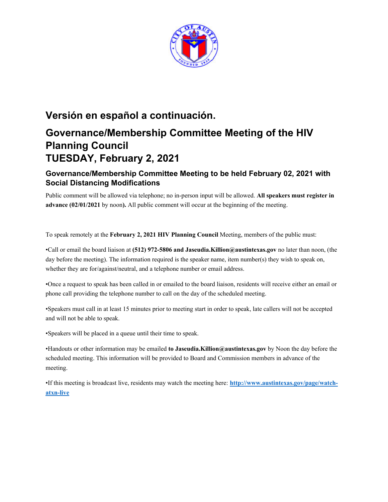

## **Versión en español a continuación.**

# **Governance/Membership Committee Meeting of the HIV Planning Council TUESDAY, February 2, 2021**

## **Governance/Membership Committee Meeting to be held February 02, 2021 with Social Distancing Modifications**

Public comment will be allowed via telephone; no in-person input will be allowed. **All speakers must register in advance (02/01/2021** by noon**).** All public comment will occur at the beginning of the meeting.

To speak remotely at the **February 2, 2021 HIV Planning Council** Meeting, members of the public must:

•Call or email the board liaison at **(512) 972-5806 and Jaseudia.Killion@austintexas.gov** no later than noon, (the day before the meeting). The information required is the speaker name, item number(s) they wish to speak on, whether they are for/against/neutral, and a telephone number or email address.

•Once a request to speak has been called in or emailed to the board liaison, residents will receive either an email or phone call providing the telephone number to call on the day of the scheduled meeting.

•Speakers must call in at least 15 minutes prior to meeting start in order to speak, late callers will not be accepted and will not be able to speak.

•Speakers will be placed in a queue until their time to speak.

•Handouts or other information may be emailed **to Jaseudia.Killion@austintexas.gov** by Noon the day before the scheduled meeting. This information will be provided to Board and Commission members in advance of the meeting.

•If this meeting is broadcast live, residents may watch the meeting here: **http://www.austintexas.gov/page/watchatxn-live**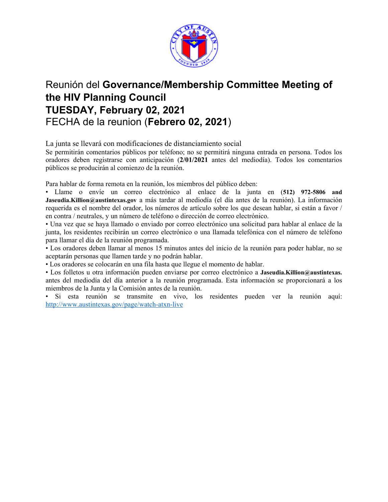

## Reunión del **Governance/Membership Committee Meeting of the HIV Planning Council TUESDAY, February 02, 2021**  FECHA de la reunion (**Febrero 02, 2021**)

La junta se llevará con modificaciones de distanciamiento social

Se permitirán comentarios públicos por teléfono; no se permitirá ninguna entrada en persona. Todos los oradores deben registrarse con anticipación (**2/01/2021** antes del mediodía). Todos los comentarios públicos se producirán al comienzo de la reunión.

Para hablar de forma remota en la reunión, los miembros del público deben:

• Llame o envíe un correo electrónico al enlace de la junta en (**512) 972-5806 and Jaseudia.Killion@austintexas.gov** a más tardar al mediodía (el día antes de la reunión). La información requerida es el nombre del orador, los números de artículo sobre los que desean hablar, si están a favor / en contra / neutrales, y un número de teléfono o dirección de correo electrónico.

• Una vez que se haya llamado o enviado por correo electrónico una solicitud para hablar al enlace de la junta, los residentes recibirán un correo electrónico o una llamada telefónica con el número de teléfono para llamar el día de la reunión programada.

• Los oradores deben llamar al menos 15 minutos antes del inicio de la reunión para poder hablar, no se aceptarán personas que llamen tarde y no podrán hablar.

• Los oradores se colocarán en una fila hasta que llegue el momento de hablar.

• Los folletos u otra información pueden enviarse por correo electrónico a **Jaseudia.Killion@austintexas.** antes del mediodía del día anterior a la reunión programada. Esta información se proporcionará a los miembros de la Junta y la Comisión antes de la reunión.

• Si esta reunión se transmite en vivo, los residentes pueden ver la reunión aquí: http://www.austintexas.gov/page/watch-atxn-live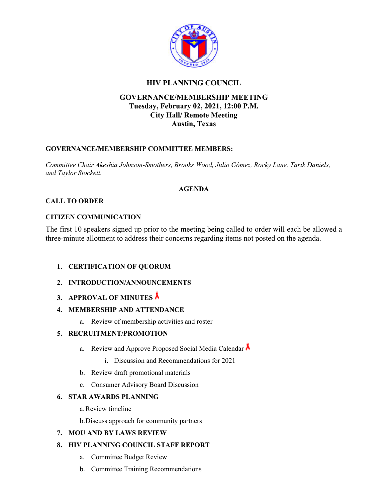

### **HIV PLANNING COUNCIL**

### **GOVERNANCE/MEMBERSHIP MEETING Tuesday, February 02, 2021, 12:00 P.M. City Hall/ Remote Meeting Austin, Texas**

#### **GOVERNANCE/MEMBERSHIP COMMITTEE MEMBERS:**

*Committee Chair Akeshia Johnson-Smothers, Brooks Wood, Julio Gómez, Rocky Lane, Tarik Daniels, and Taylor Stockett.* 

#### **AGENDA**

#### **CALL TO ORDER**

#### **CITIZEN COMMUNICATION**

The first 10 speakers signed up prior to the meeting being called to order will each be allowed a three-minute allotment to address their concerns regarding items not posted on the agenda.

#### **1. CERTIFICATION OF QUORUM**

- **2. INTRODUCTION/ANNOUNCEMENTS**
- **3. APPROVAL OF MINUTES**

#### **4. MEMBERSHIP AND ATTENDANCE**

a. Review of membership activities and roster

#### **5. RECRUITMENT/PROMOTION**

- a. Review and Approve Proposed Social Media Calendar  $\Lambda$ 
	- i. Discussion and Recommendations for 2021
- b. Review draft promotional materials
- c. Consumer Advisory Board Discussion

#### **6. STAR AWARDS PLANNING**

a.Review timeline

b.Discuss approach for community partners

### **7. MOU AND BY LAWS REVIEW**

#### **8. HIV PLANNING COUNCIL STAFF REPORT**

- a. Committee Budget Review
- b. Committee Training Recommendations